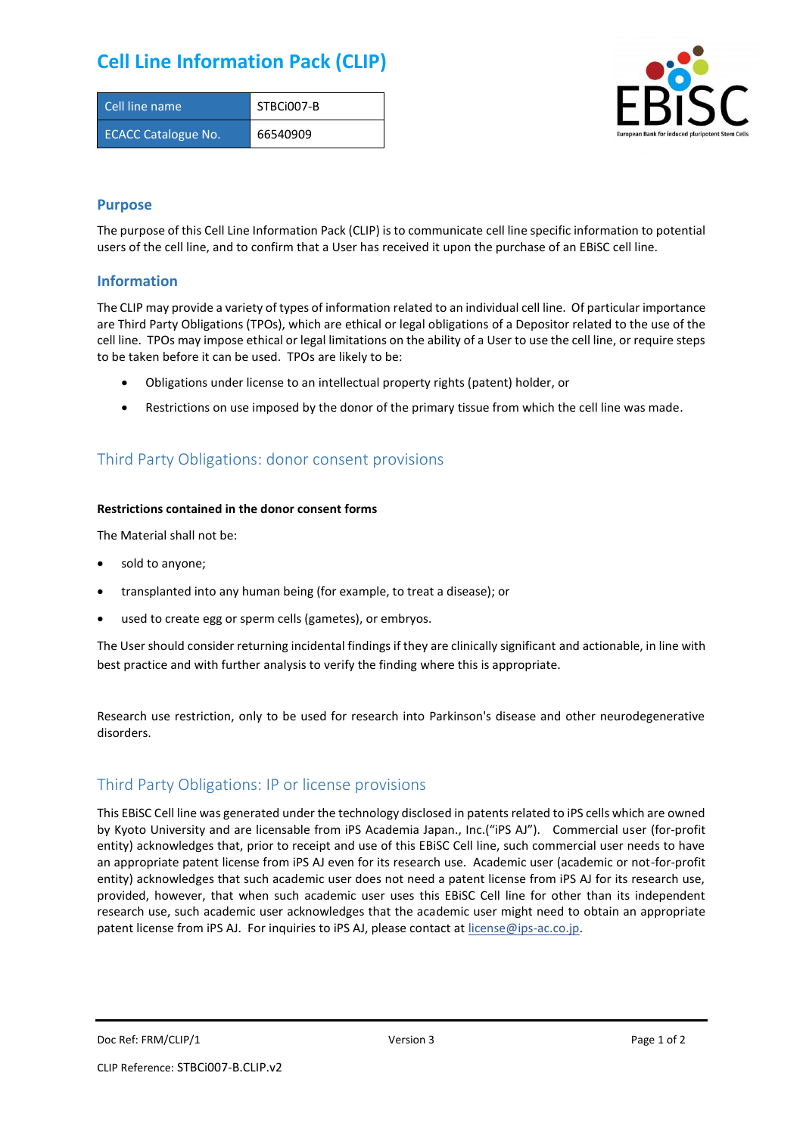## **Cell Line Information Pack (CLIP)**

| Cell line name             | STBCi007-B |
|----------------------------|------------|
| <b>ECACC Catalogue No.</b> | 66540909   |



### **Purpose**

The purpose of this Cell Line Information Pack (CLIP) is to communicate cell line specific information to potential users of the cell line, and to confirm that a User has received it upon the purchase of an EBiSC cell line.

### **Information**

The CLIP may provide a variety of types of information related to an individual cell line. Of particular importance are Third Party Obligations (TPOs), which are ethical or legal obligations of a Depositor related to the use of the cell line. TPOs may impose ethical or legal limitations on the ability of a User to use the cell line, or require steps to be taken before it can be used. TPOs are likely to be:

- Obligations under license to an intellectual property rights (patent) holder, or
- Restrictions on use imposed by the donor of the primary tissue from which the cell line was made.

## Third Party Obligations: donor consent provisions

#### **Restrictions contained in the donor consent forms**

The Material shall not be:

- sold to anyone;
- transplanted into any human being (for example, to treat a disease); or
- used to create egg or sperm cells (gametes), or embryos.

The User should consider returning incidental findings if they are clinically significant and actionable, in line with best practice and with further analysis to verify the finding where this is appropriate.

Research use restriction, only to be used for research into Parkinson's disease and other neurodegenerative disorders.

## Third Party Obligations: IP or license provisions

This EBiSC Cell line was generated under the technology disclosed in patents related to iPS cells which are owned by Kyoto University and are licensable from iPS Academia Japan., Inc.("iPS AJ"). Commercial user (for-profit entity) acknowledges that, prior to receipt and use of this EBiSC Cell line, such commercial user needs to have an appropriate patent license from iPS AJ even for its research use. Academic user (academic or not-for-profit entity) acknowledges that such academic user does not need a patent license from iPS AJ for its research use, provided, however, that when such academic user uses this EBiSC Cell line for other than its independent research use, such academic user acknowledges that the academic user might need to obtain an appropriate patent license from iPS AJ. For inquiries to iPS AJ, please contact at [license@ips-ac.co.jp.](mailto:license@ips-ac.co.jp)

Doc Ref: FRM/CLIP/1 **Doce Ref: FRM/CLIP/1 Page 1 of 2 Version 3 Page 1 of 2 Page 1 of 2**